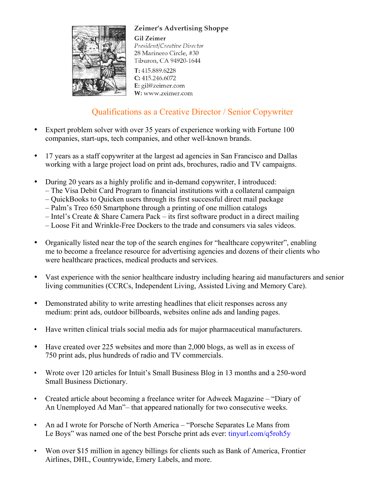



**Gil Zeimer** President/Creative Director 28 Marinero Circle, #30 Tiburon, CA 94920-1644

T: 415.889.6228  $C: 415.246.6072$ E: gil@zeimer.com W: www.zeimer.com

# Qualifications as a Creative Director / Senior Copywriter

- Expert problem solver with over 35 years of experience working with Fortune 100 companies, start-ups, tech companies, and other well-known brands.
- 17 years as a staff copywriter at the largest ad agencies in San Francisco and Dallas working with a large project load on print ads, brochures, radio and TV campaigns.
- During 20 years as a highly prolific and in-demand copywriter, I introduced:
	- The Visa Debit Card Program to financial institutions with a collateral campaign
	- QuickBooks to Quicken users through its first successful direct mail package
	- Palm's Treo 650 Smartphone through a printing of one million catalogs
	- Intel's Create & Share Camera Pack its first software product in a direct mailing
	- Loose Fit and Wrinkle-Free Dockers to the trade and consumers via sales videos.
- Organically listed near the top of the search engines for "healthcare copywriter", enabling me to become a freelance resource for advertising agencies and dozens of their clients who were healthcare practices, medical products and services.
- Vast experience with the senior healthcare industry including hearing aid manufacturers and senior living communities (CCRCs, Independent Living, Assisted Living and Memory Care).
- Demonstrated ability to write arresting headlines that elicit responses across any medium: print ads, outdoor billboards, websites online ads and landing pages.
- Have written clinical trials social media ads for major pharmaceutical manufacturers.
- Have created over 225 websites and more than 2,000 blogs, as well as in excess of 750 print ads, plus hundreds of radio and TV commercials.
- Wrote over 120 articles for Intuit's Small Business Blog in 13 months and a 250-word Small Business Dictionary.
- Created article about becoming a freelance writer for Adweek Magazine "Diary of An Unemployed Ad Man"– that appeared nationally for two consecutive weeks.
- An ad I wrote for Porsche of North America "Porsche Separates Le Mans from Le Boys" was named one of the best Porsche print ads ever: tinyurl.com/q5roh5y
- Won over \$15 million in agency billings for clients such as Bank of America, Frontier Airlines, DHL, Countrywide, Emery Labels, and more.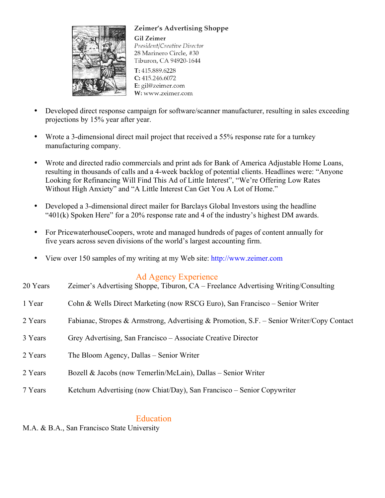



**Gil Zeimer** President/Creative Director 28 Marinero Circle, #30 Tiburon, CA 94920-1644

T: 415.889.6228  $C: 415.246.6072$ E: gil@zeimer.com W: www.zeimer.com

- Developed direct response campaign for software/scanner manufacturer, resulting in sales exceeding projections by 15% year after year.
- Wrote a 3-dimensional direct mail project that received a 55% response rate for a turnkey manufacturing company.
- Wrote and directed radio commercials and print ads for Bank of America Adjustable Home Loans, resulting in thousands of calls and a 4-week backlog of potential clients. Headlines were: "Anyone Looking for Refinancing Will Find This Ad of Little Interest", "We're Offering Low Rates Without High Anxiety" and "A Little Interest Can Get You A Lot of Home."
- Developed a 3-dimensional direct mailer for Barclays Global Investors using the headline "401(k) Spoken Here" for a 20% response rate and 4 of the industry's highest DM awards.
- For PricewaterhouseCoopers, wrote and managed hundreds of pages of content annually for five years across seven divisions of the world's largest accounting firm.
- View over 150 samples of my writing at my Web site: http://www.zeimer.com

# Ad Agency Experience

| 20 Years | Zeimer's Advertising Shoppe, Tiburon, CA – Freelance Advertising Writing/Consulting       |
|----------|-------------------------------------------------------------------------------------------|
| 1 Year   | Cohn & Wells Direct Marketing (now RSCG Euro), San Francisco – Senior Writer              |
| 2 Years  | Fabianac, Stropes & Armstrong, Advertising & Promotion, S.F. – Senior Writer/Copy Contact |
| 3 Years  | Grey Advertising, San Francisco – Associate Creative Director                             |
| 2 Years  | The Bloom Agency, Dallas – Senior Writer                                                  |
| 2 Years  | Bozell & Jacobs (now Temerlin/McLain), Dallas – Senior Writer                             |
| 7 Years  | Ketchum Advertising (now Chiat/Day), San Francisco – Senior Copywriter                    |

# Education

M.A. & B.A., San Francisco State University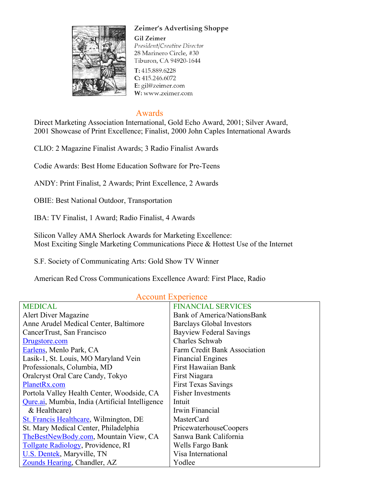

#### Zeimer's Advertising Shoppe

**Gil Zeimer** President/Creative Director 28 Marinero Circle, #30 Tiburon, CA 94920-1644

T: 415.889.6228 C: 415.246.6072 E: gil@zeimer.com W: www.zeimer.com

#### Awards

Direct Marketing Association International, Gold Echo Award, 2001; Silver Award, 2001 Showcase of Print Excellence; Finalist, 2000 John Caples International Awards

CLIO: 2 Magazine Finalist Awards; 3 Radio Finalist Awards

Codie Awards: Best Home Education Software for Pre-Teens

ANDY: Print Finalist, 2 Awards; Print Excellence, 2 Awards

OBIE: Best National Outdoor, Transportation

IBA: TV Finalist, 1 Award; Radio Finalist, 4 Awards

Silicon Valley AMA Sherlock Awards for Marketing Excellence: Most Exciting Single Marketing Communications Piece & Hottest Use of the Internet

S.F. Society of Communicating Arts: Gold Show TV Winner

American Red Cross Communications Excellence Award: First Place, Radio

| <b>MEDICAL</b>                                  | <b>FINANCIAL SERVICES</b>          |
|-------------------------------------------------|------------------------------------|
| Alert Diver Magazine                            | <b>Bank of America/NationsBank</b> |
| Anne Arudel Medical Center, Baltimore           | <b>Barclays Global Investors</b>   |
| CancerTrust, San Francisco                      | <b>Bayview Federal Savings</b>     |
| Drugstore.com                                   | Charles Schwab                     |
| Earlens, Menlo Park, CA                         | Farm Credit Bank Association       |
| Lasik-1, St. Louis, MO Maryland Vein            | <b>Financial Engines</b>           |
| Professionals, Columbia, MD                     | <b>First Hawaiian Bank</b>         |
| Oralcryst Oral Care Candy, Tokyo                | First Niagara                      |
| PlanetRx.com                                    | <b>First Texas Savings</b>         |
| Portola Valley Health Center, Woodside, CA      | <b>Fisher Investments</b>          |
| Qure.ai, Mumbia, India (Artificial Intelligence | Intuit                             |
| & Healthcare)                                   | Irwin Financial                    |
| St. Francis Healthcare, Wilmington, DE          | <b>MasterCard</b>                  |
| St. Mary Medical Center, Philadelphia           | PricewaterhouseCoopers             |
| TheBestNewBody.com, Mountain View, CA           | Sanwa Bank California              |
| Tollgate Radiology, Providence, RI              | Wells Fargo Bank                   |
| U.S. Dentek, Maryville, TN                      | Visa International                 |
| Zounds Hearing, Chandler, AZ                    | Yodlee                             |

## Account Experience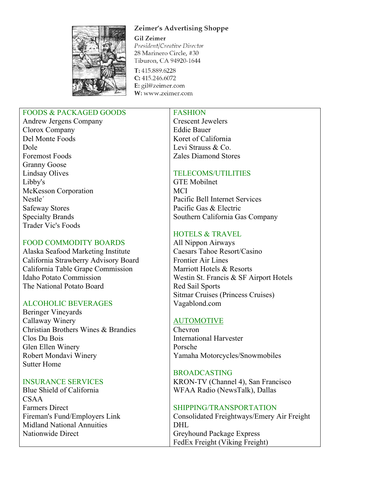Zeimer's Advertising Shoppe



**Gil Zeimer** President/Creative Director 28 Marinero Circle, #30 Tiburon, CA 94920-1644

T: 415.889.6228  $C: 415.246.6072$ E: gil@zeimer.com W: www.zeimer.com

### FOODS & PACKAGED GOODS

Andrew Jergens Company Clorox Company Del Monte Foods Dole Foremost Foods Granny Goose Lindsay Olives Libby's McKesson Corporation Nestle´ Safeway Stores Specialty Brands Trader Vic's Foods

#### FOOD COMMODITY BOARDS

Alaska Seafood Marketing Institute California Strawberry Advisory Board California Table Grape Commission Idaho Potato Commission The National Potato Board

## ALCOHOLIC BEVERAGES

Beringer Vineyards Callaway Winery Christian Brothers Wines & Brandies Clos Du Bois Glen Ellen Winery Robert Mondavi Winery Sutter Home

#### INSURANCE SERVICES

Blue Shield of California CSAA Farmers Direct Fireman's Fund/Employers Link Midland National Annuities Nationwide Direct

FASHION Crescent Jewelers Eddie Bauer Koret of California Levi Strauss & Co.

#### TELECOMS/UTILITIES

Zales Diamond Stores

GTE Mobilnet **MCI** Pacific Bell Internet Services Pacific Gas & Electric Southern California Gas Company

#### HOTELS & TRAVEL

All Nippon Airways Caesars Tahoe Resort/Casino Frontier Air Lines Marriott Hotels & Resorts Westin St. Francis & SF Airport Hotels Red Sail Sports Sitmar Cruises (Princess Cruises) Vagablond.com

## AUTOMOTIVE

Chevron International Harvester Porsche Yamaha Motorcycles/Snowmobiles

## BROADCASTING

KRON-TV (Channel 4), San Francisco WFAA Radio (NewsTalk), Dallas

## SHIPPING/TRANSPORTATION

Consolidated Freightways/Emery Air Freight DHL Greyhound Package Express FedEx Freight (Viking Freight)